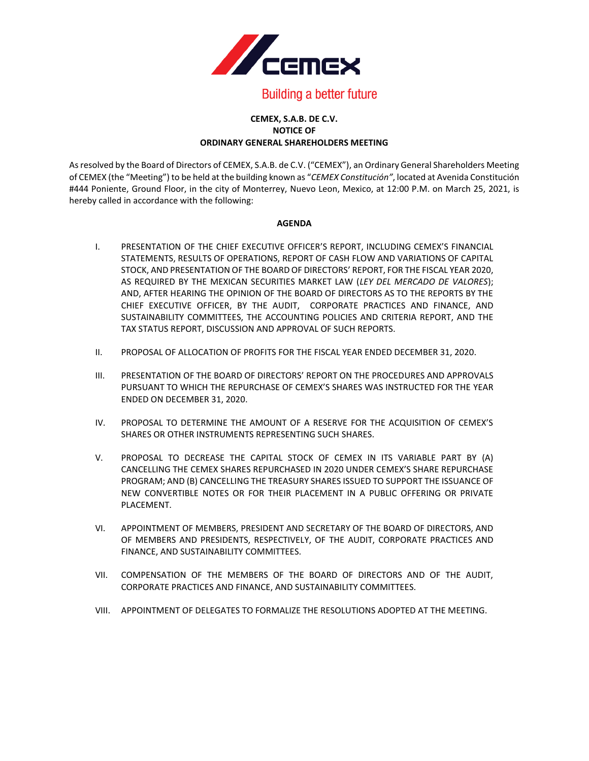

## **Building a better future**

## **CEMEX, S.A.B. DE C.V. NOTICE OF ORDINARY GENERAL SHAREHOLDERS MEETING**

As resolved by the Board of Directors of CEMEX, S.A.B. de C.V. ("CEMEX"), an Ordinary General Shareholders Meeting of CEMEX (the "Meeting") to be held at the building known as "*CEMEX Constitución"*, located at Avenida Constitución #444 Poniente, Ground Floor, in the city of Monterrey, Nuevo Leon, Mexico, at 12:00 P.M. on March 25, 2021, is hereby called in accordance with the following:

## **AGENDA**

- I. PRESENTATION OF THE CHIEF EXECUTIVE OFFICER'S REPORT, INCLUDING CEMEX'S FINANCIAL STATEMENTS, RESULTS OF OPERATIONS, REPORT OF CASH FLOW AND VARIATIONS OF CAPITAL STOCK, AND PRESENTATION OF THE BOARD OF DIRECTORS' REPORT, FOR THE FISCAL YEAR 2020, AS REQUIRED BY THE MEXICAN SECURITIES MARKET LAW (*LEY DEL MERCADO DE VALORES*); AND, AFTER HEARING THE OPINION OF THE BOARD OF DIRECTORS AS TO THE REPORTS BY THE CHIEF EXECUTIVE OFFICER, BY THE AUDIT, CORPORATE PRACTICES AND FINANCE, AND SUSTAINABILITY COMMITTEES, THE ACCOUNTING POLICIES AND CRITERIA REPORT, AND THE TAX STATUS REPORT, DISCUSSION AND APPROVAL OF SUCH REPORTS.
- II. PROPOSAL OF ALLOCATION OF PROFITS FOR THE FISCAL YEAR ENDED DECEMBER 31, 2020.
- III. PRESENTATION OF THE BOARD OF DIRECTORS' REPORT ON THE PROCEDURES AND APPROVALS PURSUANT TO WHICH THE REPURCHASE OF CEMEX'S SHARES WAS INSTRUCTED FOR THE YEAR ENDED ON DECEMBER 31, 2020.
- IV. PROPOSAL TO DETERMINE THE AMOUNT OF A RESERVE FOR THE ACQUISITION OF CEMEX'S SHARES OR OTHER INSTRUMENTS REPRESENTING SUCH SHARES.
- V. PROPOSAL TO DECREASE THE CAPITAL STOCK OF CEMEX IN ITS VARIABLE PART BY (A) CANCELLING THE CEMEX SHARES REPURCHASED IN 2020 UNDER CEMEX'S SHARE REPURCHASE PROGRAM; AND (B) CANCELLING THE TREASURY SHARES ISSUED TO SUPPORT THE ISSUANCE OF NEW CONVERTIBLE NOTES OR FOR THEIR PLACEMENT IN A PUBLIC OFFERING OR PRIVATE PLACEMENT.
- VI. APPOINTMENT OF MEMBERS, PRESIDENT AND SECRETARY OF THE BOARD OF DIRECTORS, AND OF MEMBERS AND PRESIDENTS, RESPECTIVELY, OF THE AUDIT, CORPORATE PRACTICES AND FINANCE, AND SUSTAINABILITY COMMITTEES.
- VII. COMPENSATION OF THE MEMBERS OF THE BOARD OF DIRECTORS AND OF THE AUDIT, CORPORATE PRACTICES AND FINANCE, AND SUSTAINABILITY COMMITTEES.
- VIII. APPOINTMENT OF DELEGATES TO FORMALIZE THE RESOLUTIONS ADOPTED AT THE MEETING.